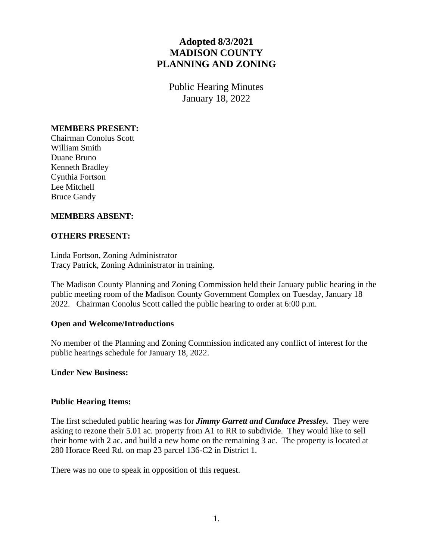# **Adopted 8/3/2021 MADISON COUNTY PLANNING AND ZONING**

Public Hearing Minutes January 18, 2022

#### **MEMBERS PRESENT:**

Chairman Conolus Scott William Smith Duane Bruno Kenneth Bradley Cynthia Fortson Lee Mitchell Bruce Gandy

## **MEMBERS ABSENT:**

## **OTHERS PRESENT:**

Linda Fortson, Zoning Administrator Tracy Patrick, Zoning Administrator in training.

The Madison County Planning and Zoning Commission held their January public hearing in the public meeting room of the Madison County Government Complex on Tuesday, January 18 2022. Chairman Conolus Scott called the public hearing to order at 6:00 p.m.

#### **Open and Welcome/Introductions**

No member of the Planning and Zoning Commission indicated any conflict of interest for the public hearings schedule for January 18, 2022.

#### **Under New Business:**

#### **Public Hearing Items:**

The first scheduled public hearing was for *Jimmy Garrett and Candace Pressley.* They were asking to rezone their 5.01 ac. property from A1 to RR to subdivide. They would like to sell their home with 2 ac. and build a new home on the remaining 3 ac. The property is located at 280 Horace Reed Rd. on map 23 parcel 136-C2 in District 1.

There was no one to speak in opposition of this request.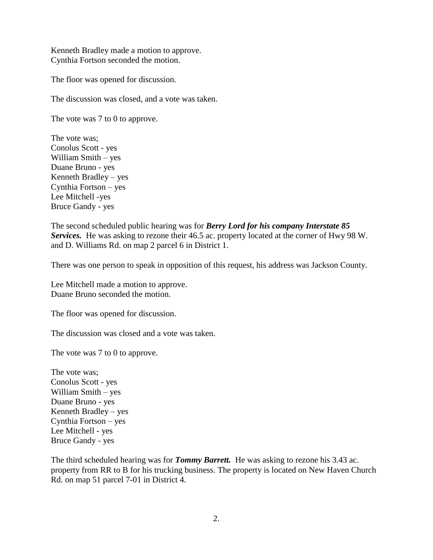Kenneth Bradley made a motion to approve. Cynthia Fortson seconded the motion.

The floor was opened for discussion.

The discussion was closed, and a vote was taken.

The vote was 7 to 0 to approve.

The vote was; Conolus Scott - yes William Smith – yes Duane Bruno - yes Kenneth Bradley – yes Cynthia Fortson – yes Lee Mitchell -yes Bruce Gandy - yes

The second scheduled public hearing was for *Berry Lord for his company Interstate 85 Services.* He was asking to rezone their 46.5 ac. property located at the corner of Hwy 98 W. and D. Williams Rd. on map 2 parcel 6 in District 1.

There was one person to speak in opposition of this request, his address was Jackson County.

Lee Mitchell made a motion to approve. Duane Bruno seconded the motion.

The floor was opened for discussion.

The discussion was closed and a vote was taken.

The vote was 7 to 0 to approve.

The vote was; Conolus Scott - yes William Smith – yes Duane Bruno - yes Kenneth Bradley – yes Cynthia Fortson – yes Lee Mitchell - yes Bruce Gandy - yes

The third scheduled hearing was for *Tommy Barrett.* He was asking to rezone his 3.43 ac. property from RR to B for his trucking business. The property is located on New Haven Church Rd. on map 51 parcel 7-01 in District 4.